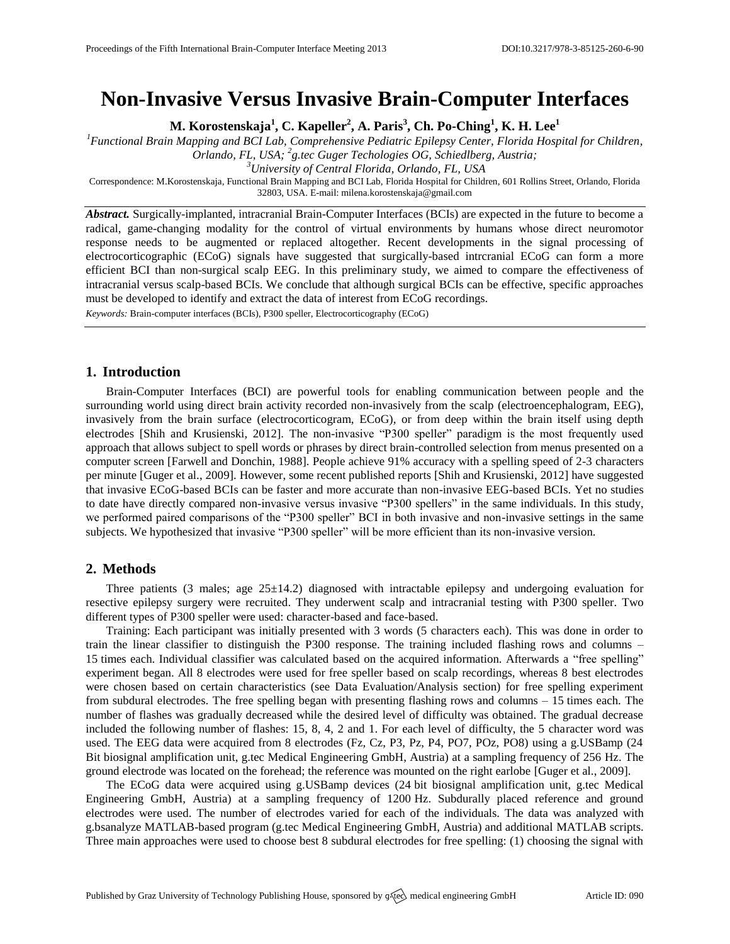# **Non-Invasive Versus Invasive Brain-Computer Interfaces**

**M. Korostenskaja 1 , C. Kapeller<sup>2</sup> , A. Paris<sup>3</sup> , Ch. Po-Ching<sup>1</sup> , K. H. Lee<sup>1</sup>**

*<sup>1</sup>Functional Brain Mapping and BCI Lab, Comprehensive Pediatric Epilepsy Center, Florida Hospital for Children, Orlando, FL, USA; <sup>2</sup> g.tec Guger Techologies OG, Schiedlberg, Austria;*

*<sup>3</sup>University of Central Florida, Orlando, FL, USA*

Correspondence: M.Korostenskaja, Functional Brain Mapping and BCI Lab, Florida Hospital for Children, 601 Rollins Street, Orlando, Florida 32803, USA. E-mail[: milena.korostenskaja@gmail.com](mailto:milena.korostenskaja@gmail.com)

*Abstract.* Surgically-implanted, intracranial Brain-Computer Interfaces (BCIs) are expected in the future to become a radical, game-changing modality for the control of virtual environments by humans whose direct neuromotor response needs to be augmented or replaced altogether. Recent developments in the signal processing of electrocorticographic (ECoG) signals have suggested that surgically-based intrcranial ECoG can form a more efficient BCI than non-surgical scalp EEG. In this preliminary study, we aimed to compare the effectiveness of intracranial versus scalp-based BCIs. We conclude that although surgical BCIs can be effective, specific approaches must be developed to identify and extract the data of interest from ECoG recordings.

*Keywords:* Brain-computer interfaces (BCIs), P300 speller, Electrocorticography (ECoG)

# **1. Introduction**

Brain-Computer Interfaces (BCI) are powerful tools for enabling communication between people and the surrounding world using direct brain activity recorded non-invasively from the scalp (electroencephalogram, EEG), invasively from the brain surface (electrocorticogram, ECoG), or from deep within the brain itself using depth electrodes [\[Shih and Krusienski,](#page-1-0) 2012]. The non-invasive "P300 speller" paradigm is the most frequently used approach that allows subject to spell words or phrases by direct brain-controlled selection from menus presented on a computer screen [\[Farwell and Donchin,](#page-1-1) 1988]. People achieve 91% accuracy with a spelling speed of 2-3 characters per minute [\[Guger et al.,](#page-1-2) 2009]. However, some recent published reports [\[Shih and Krusienski,](#page-1-0) 2012] have suggested that invasive ECoG-based BCIs can be faster and more accurate than non-invasive EEG-based BCIs. Yet no studies to date have directly compared non-invasive versus invasive "P300 spellers" in the same individuals. In this study, we performed paired comparisons of the "P300 speller" BCI in both invasive and non-invasive settings in the same subjects. We hypothesized that invasive "P300 speller" will be more efficient than its non-invasive version.

# **2. Methods**

Three patients (3 males; age  $25\pm14.2$ ) diagnosed with intractable epilepsy and undergoing evaluation for resective epilepsy surgery were recruited. They underwent scalp and intracranial testing with P300 speller. Two different types of P300 speller were used: character-based and face-based.

Training: Each participant was initially presented with 3 words (5 characters each). This was done in order to train the linear classifier to distinguish the P300 response. The training included flashing rows and columns – 15 times each. Individual classifier was calculated based on the acquired information. Afterwards a "free spelling" experiment began. All 8 electrodes were used for free speller based on scalp recordings, whereas 8 best electrodes were chosen based on certain characteristics (see Data Evaluation/Analysis section) for free spelling experiment from subdural electrodes. The free spelling began with presenting flashing rows and columns – 15 times each. The number of flashes was gradually decreased while the desired level of difficulty was obtained. The gradual decrease included the following number of flashes: 15, 8, 4, 2 and 1. For each level of difficulty, the 5 character word was used. The EEG data were acquired from 8 electrodes (Fz, Cz, P3, Pz, P4, PO7, POz, PO8) using a g.USBamp (24 Bit biosignal amplification unit, g.tec Medical Engineering GmbH, Austria) at a sampling frequency of 256 Hz. The ground electrode was located on the forehead; the reference was mounted on the right earlobe [\[Guger et al.,](#page-1-2) 2009].

The ECoG data were acquired using g.USBamp devices (24 bit biosignal amplification unit, g.tec Medical Engineering GmbH, Austria) at a sampling frequency of 1200 Hz. Subdurally placed reference and ground electrodes were used. The number of electrodes varied for each of the individuals. The data was analyzed with g.bsanalyze MATLAB-based program (g.tec Medical Engineering GmbH, Austria) and additional MATLAB scripts. Three main approaches were used to choose best 8 subdural electrodes for free spelling: (1) choosing the signal with